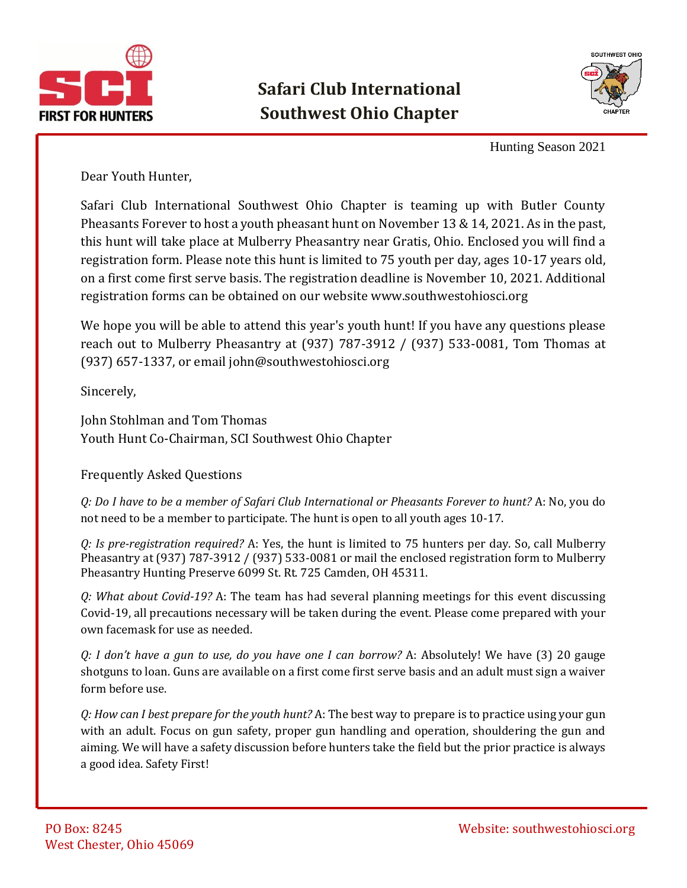



Hunting Season 2021

Dear Youth Hunter,

Safari Club International Southwest Ohio Chapter is teaming up with Butler County Pheasants Forever to host a youth pheasant hunt on November 13 & 14, 2021. As in the past, this hunt will take place at Mulberry Pheasantry near Gratis, Ohio. Enclosed you will find a registration form. Please note this hunt is limited to 75 youth per day, ages 10-17 years old, on a first come first serve basis. The registration deadline is November 10, 2021. Additional registration forms can be obtained on our websit[e www.southwestohiosci.org](http://www.southwestohiosci.org/)

We hope you will be able to attend this year's youth hunt! If you have any questions please reach out to Mulberry Pheasantry at (937) 787-3912 / (937) 533-0081, Tom Thomas at (937) 657-1337, or email [john@southwestohiosci.org](mailto:john@southwestohiosci.org)

Sincerely,

John Stohlman and Tom Thomas Youth Hunt Co-Chairman, SCI Southwest Ohio Chapter

## Frequently Asked Questions

*Q: Do I have to be a member of Safari Club International or Pheasants Forever to hunt?* A: No, you do not need to be a member to participate. The hunt is open to all youth ages 10-17.

*Q: Is pre-registration required?* A: Yes, the hunt is limited to 75 hunters per day. So, call Mulberry Pheasantry at (937) 787-3912 / (937) 533-0081 or mail the enclosed registration form to Mulberry Pheasantry Hunting Preserve 6099 St. Rt. 725 Camden, OH 45311.

*Q: What about Covid-19?* A: The team has had several planning meetings for this event discussing Covid-19, all precautions necessary will be taken during the event. Please come prepared with your own facemask for use as needed.

*Q: I don't have a gun to use, do you have one I can borrow?* A: Absolutely! We have (3) 20 gauge shotguns to loan. Guns are available on a first come first serve basis and an adult must sign a waiver form before use.

*Q: How can I best prepare for the youth hunt?* A: The best way to prepare is to practice using your gun with an adult. Focus on gun safety, proper gun handling and operation, shouldering the gun and aiming. We will have a safety discussion before hunters take the field but the prior practice is always a good idea. Safety First!